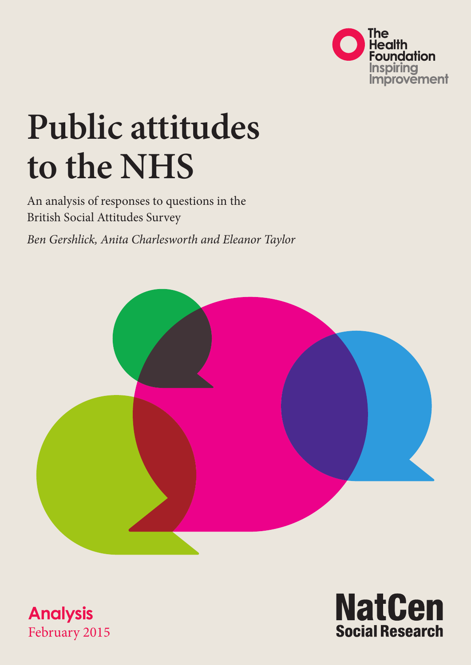

# **Public attitudes to the NHS**

An analysis of responses to questions in the British Social Attitudes Survey

*Ben Gershlick, Anita Charlesworth and Eleanor Taylor*





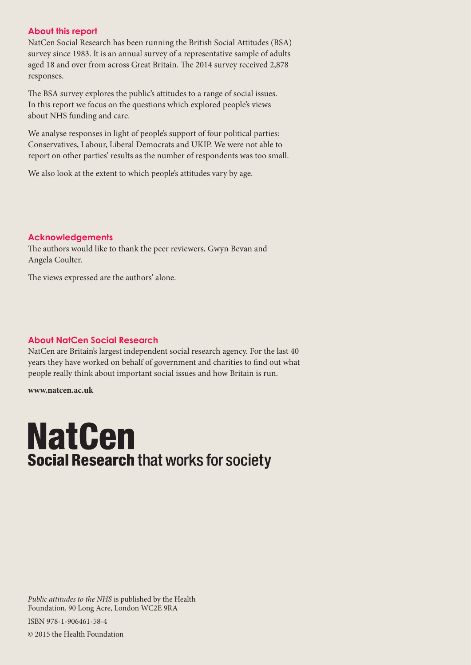#### **About this report**

NatCen Social Research has been running the British Social Attitudes (BSA) survey since 1983. It is an annual survey of a representative sample of adults aged 18 and over from across Great Britain. The 2014 survey received 2,878 responses.

The BSA survey explores the public's attitudes to a range of social issues. In this report we focus on the questions which explored people's views about NHS funding and care.

We analyse responses in light of people's support of four political parties: Conservatives, Labour, Liberal Democrats and UKIP. We were not able to report on other parties' results as the number of respondents was too small.

We also look at the extent to which people's attitudes vary by age.

#### **Acknowledgements**

The authors would like to thank the peer reviewers, Gwyn Bevan and Angela Coulter.

The views expressed are the authors' alone.

#### **About NatCen Social Research**

NatCen are Britain's largest independent social research agency. For the last 40 years they have worked on behalf of government and charities to find out what people really think about important social issues and how Britain is run.

**www.natcen.ac.uk**

### **NatCen Social Research that works for society**

*Public attitudes to the NHS* is published by the Health Foundation, 90 Long Acre, London WC2E 9RA

ISBN 978-1-906461-58-4

© 2015 the Health Foundation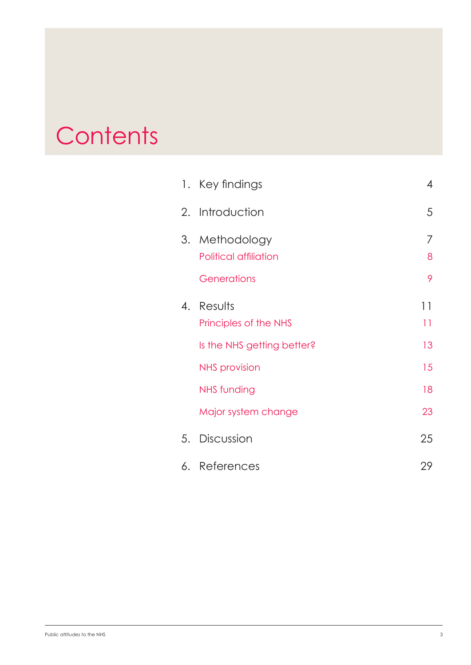## **Contents**

|    | 1. Key findings                                     | 4           |
|----|-----------------------------------------------------|-------------|
|    | 2. Introduction                                     | 5           |
| 3. | Methodology<br>Political affiliation<br>Generations | 7<br>8<br>9 |
| 4. | Results<br>Principles of the NHS                    | 11<br>11    |
|    | Is the NHS getting better?                          | 13          |
|    | <b>NHS</b> provision                                | 15          |
|    | <b>NHS funding</b>                                  | 18          |
|    | Major system change                                 | 23          |
| 5. | Discussion                                          | 25          |
| 6. | References                                          | 29          |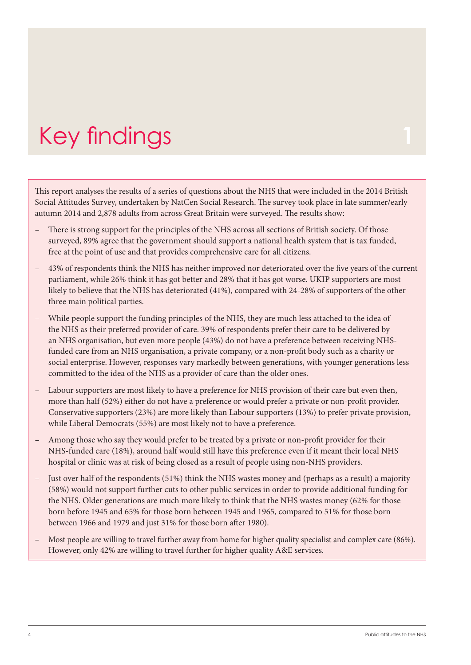# <span id="page-3-0"></span>Key findings

This report analyses the results of a series of questions about the NHS that were included in the 2014 British Social Attitudes Survey, undertaken by NatCen Social Research. The survey took place in late summer/early autumn 2014 and 2,878 adults from across Great Britain were surveyed. The results show:

- There is strong support for the principles of the NHS across all sections of British society. Of those surveyed, 89% agree that the government should support a national health system that is tax funded, free at the point of use and that provides comprehensive care for all citizens.
- 43% of respondents think the NHS has neither improved nor deteriorated over the five years of the current parliament, while 26% think it has got better and 28% that it has got worse. UKIP supporters are most likely to believe that the NHS has deteriorated (41%), compared with 24-28% of supporters of the other three main political parties.
- While people support the funding principles of the NHS, they are much less attached to the idea of the NHS as their preferred provider of care. 39% of respondents prefer their care to be delivered by an NHS organisation, but even more people (43%) do not have a preference between receiving NHSfunded care from an NHS organisation, a private company, or a non-profit body such as a charity or social enterprise. However, responses vary markedly between generations, with younger generations less committed to the idea of the NHS as a provider of care than the older ones.
- Labour supporters are most likely to have a preference for NHS provision of their care but even then, more than half (52%) either do not have a preference or would prefer a private or non-profit provider. Conservative supporters (23%) are more likely than Labour supporters (13%) to prefer private provision, while Liberal Democrats (55%) are most likely not to have a preference.
- Among those who say they would prefer to be treated by a private or non-profit provider for their NHS-funded care (18%), around half would still have this preference even if it meant their local NHS hospital or clinic was at risk of being closed as a result of people using non-NHS providers.
- Just over half of the respondents (51%) think the NHS wastes money and (perhaps as a result) a majority (58%) would not support further cuts to other public services in order to provide additional funding for the NHS. Older generations are much more likely to think that the NHS wastes money (62% for those born before 1945 and 65% for those born between 1945 and 1965, compared to 51% for those born between 1966 and 1979 and just 31% for those born after 1980).
- Most people are willing to travel further away from home for higher quality specialist and complex care (86%). However, only 42% are willing to travel further for higher quality A&E services.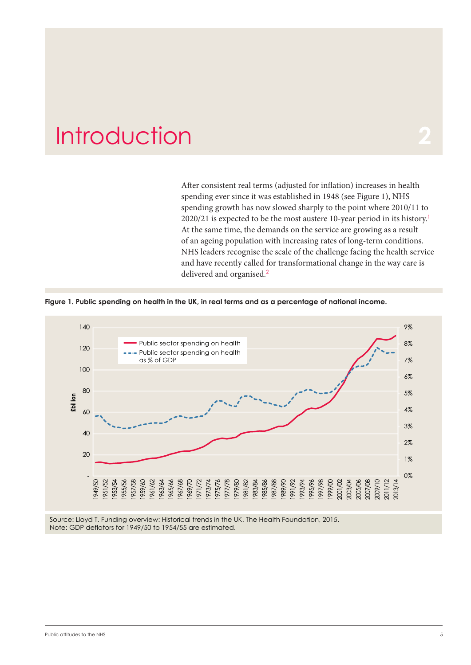### <span id="page-4-0"></span>**Introduction**

After consistent real terms (adjusted for inflation) increases in health spending ever since it was established in 1948 (see Figure 1), NHS spending growth has now slowed sharply to the point where 2010/11 to  $2020/21$  is expected to be the most austere 10-year period in its history.<sup>1</sup> At the same time, the demands on the service are growing as a result of an ageing population with increasing rates of long-term conditions. NHS leaders recognise the scale of the challenge facing the health service and have recently called for transformational change in the way care is delivered and organised.<sup>2</sup>



**Figure 1. Public spending on health in the UK, in real terms and as a percentage of national income.**



Source: Lloyd T. Funding overview: Historical trends in the UK. The Health Foundation, 2015. Note: GDP deflators for 1949/50 to 1954/55 are estimated.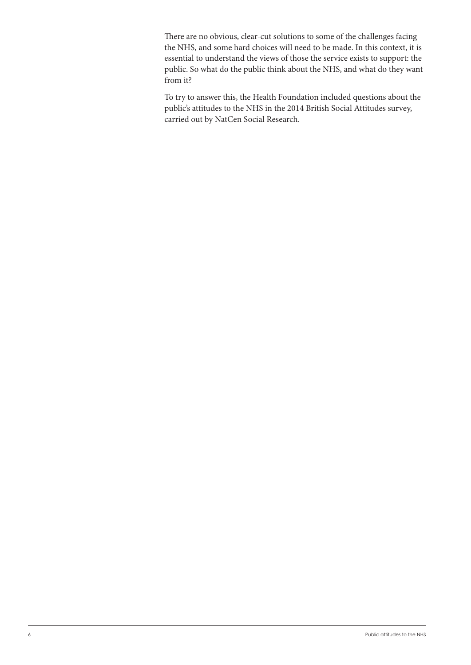There are no obvious, clear-cut solutions to some of the challenges facing the NHS, and some hard choices will need to be made. In this context, it is essential to understand the views of those the service exists to support: the public. So what do the public think about the NHS, and what do they want from it?

To try to answer this, the Health Foundation included questions about the public's attitudes to the NHS in the 2014 British Social Attitudes survey, carried out by NatCen Social Research.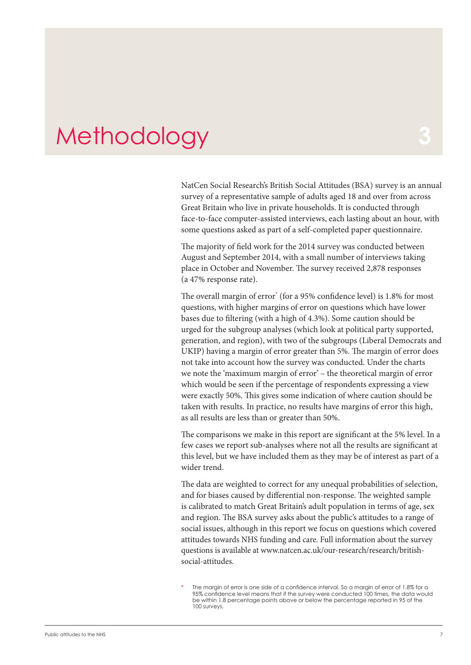### <span id="page-6-0"></span>**Methodology**

NatCen Social Research's British Social Attitudes (BSA) survey is an annual survey of a representative sample of adults aged 18 and over from across Great Britain who live in private households. It is conducted through face-to-face computer-assisted interviews, each lasting about an hour, with some questions asked as part of a self-completed paper questionnaire.

The majority of field work for the 2014 survey was conducted between August and September 2014, with a small number of interviews taking place in October and November. The survey received 2,878 responses (a 47% response rate).

The overall margin of error\* (for a 95% confidence level) is 1.8% for most questions, with higher margins of error on questions which have lower bases due to filtering (with a high of 4.3%). Some caution should be urged for the subgroup analyses (which look at political party supported, generation, and region), with two of the subgroups (Liberal Democrats and UKIP) having a margin of error greater than 5%. The margin of error does not take into account how the survey was conducted. Under the charts we note the 'maximum margin of error' – the theoretical margin of error which would be seen if the percentage of respondents expressing a view were exactly 50%. This gives some indication of where caution should be taken with results. In practice, no results have margins of error this high, as all results are less than or greater than 50%.

The comparisons we make in this report are significant at the 5% level. In a few cases we report sub-analyses where not all the results are significant at this level, but we have included them as they may be of interest as part of a wider trend.

The data are weighted to correct for any unequal probabilities of selection, and for biases caused by differential non-response. The weighted sample is calibrated to match Great Britain's adult population in terms of age, sex and region. The BSA survey asks about the public's attitudes to a range of social issues, although in this report we focus on questions which covered attitudes towards NHS funding and care. Full information about the survey questions is available at [www.natcen.ac.uk/our-research/research/british](http://www.natcen.ac.uk/our-research/research/british-social-attitudes/)[social-attitudes](http://www.natcen.ac.uk/our-research/research/british-social-attitudes/).

The margin of error is one side of a confidence interval. So a margin of error of 1.8% for a 95% confidence level means that if the survey were conducted 100 times, the data would be within 1.8 percentage points above or below the percentage reported in 95 of the 100 surveys.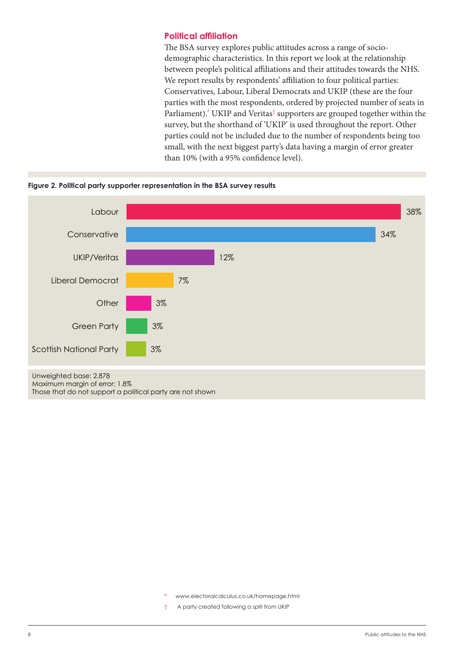#### <span id="page-7-0"></span>**Political affiliation**

The BSA survey explores public attitudes across a range of sociodemographic characteristics. In this report we look at the relationship between people's political affiliations and their attitudes towards the NHS. We report results by respondents' affiliation to four political parties: Conservatives, Labour, Liberal Democrats and UKIP (these are the four parties with the most respondents, ordered by projected number of seats in Parliament).\* UKIP and Veritas<sup>†</sup> supporters are grouped together within the survey, but the shorthand of 'UKIP' is used throughout the report. Other parties could not be included due to the number of respondents being too small, with the next biggest party's data having a margin of error greater than 10% (with a 95% confidence level).





www.electoralcalculus.co.uk/homepage.html

† A party created following a split from UKIP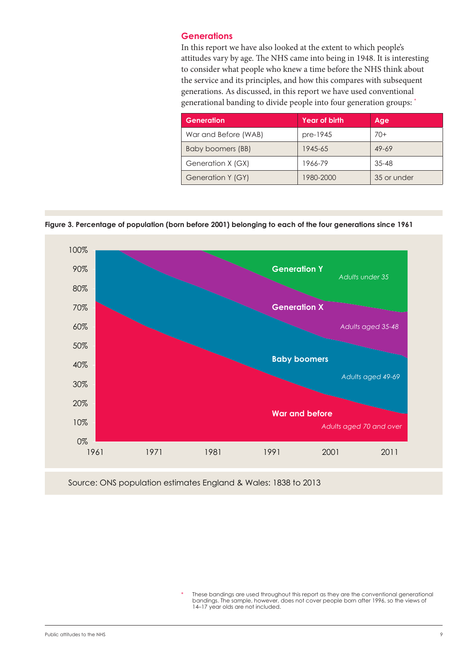#### <span id="page-8-0"></span>**Generations**

In this report we have also looked at the extent to which people's attitudes vary by age. The NHS came into being in 1948. It is interesting to consider what people who knew a time before the NHS think about the service and its principles, and how this compares with subsequent generations. As discussed, in this report we have used conventional generational banding to divide people into four generation groups: \*

| Generation           | <b>Year of birth</b> | Age         |
|----------------------|----------------------|-------------|
| War and Before (WAB) | pre-1945             | $70+$       |
| Baby boomers (BB)    | 1945-65              | $49 - 69$   |
| Generation X (GX)    | 1966-79              | $35 - 48$   |
| Generation Y (GY)    | 1980-2000            | 35 or under |

**Figure 3. Percentage of population (born before 2001) belonging to each of the four generations since 1961**



Source: ONS population estimates England & Wales: 1838 to 2013

These bandings are used throughout this report as they are the conventional generational bandings. The sample, however, does not cover people born after 1996, so the views of 14–17 year olds are not included.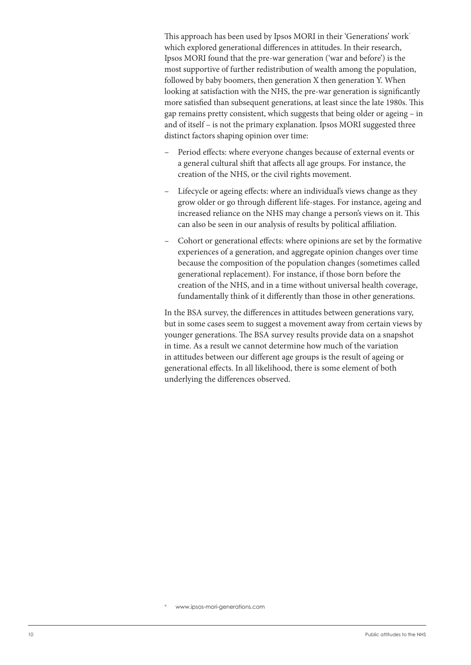This approach has been used by Ipsos MORI in their 'Generations' work\* which explored generational differences in attitudes. In their research, Ipsos MORI found that the pre-war generation ('war and before') is the most supportive of further redistribution of wealth among the population, followed by baby boomers, then generation X then generation Y. When looking at satisfaction with the NHS, the pre-war generation is significantly more satisfied than subsequent generations, at least since the late 1980s. This gap remains pretty consistent, which suggests that being older or ageing – in and of itself – is not the primary explanation. Ipsos MORI suggested three distinct factors shaping opinion over time:

- Period effects: where everyone changes because of external events or a general cultural shift that affects all age groups. For instance, the creation of the NHS, or the civil rights movement.
- Lifecycle or ageing effects: where an individual's views change as they grow older or go through different life-stages. For instance, ageing and increased reliance on the NHS may change a person's views on it. This can also be seen in our analysis of results by political affiliation.
- Cohort or generational effects: where opinions are set by the formative experiences of a generation, and aggregate opinion changes over time because the composition of the population changes (sometimes called generational replacement). For instance, if those born before the creation of the NHS, and in a time without universal health coverage, fundamentally think of it differently than those in other generations.

In the BSA survey, the differences in attitudes between generations vary, but in some cases seem to suggest a movement away from certain views by younger generations. The BSA survey results provide data on a snapshot in time. As a result we cannot determine how much of the variation in attitudes between our different age groups is the result of ageing or generational effects. In all likelihood, there is some element of both underlying the differences observed.

www.ipsos-mori-generations.com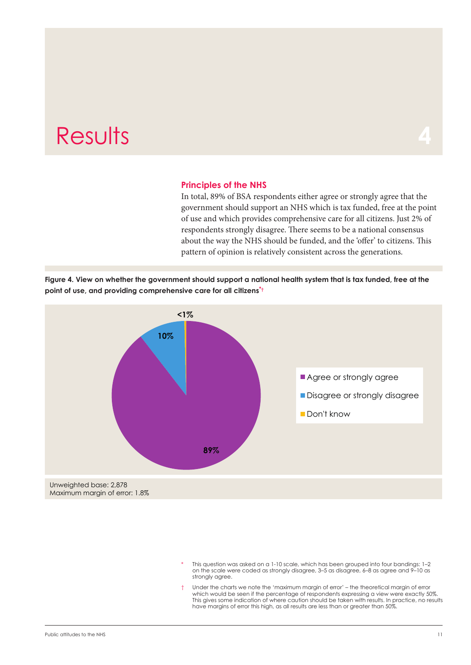### <span id="page-10-0"></span>**Results**

#### **Principles of the NHS**

In total, 89% of BSA respondents either agree or strongly agree that the government should support an NHS which is tax funded, free at the point of use and which provides comprehensive care for all citizens. Just 2% of respondents strongly disagree. There seems to be a national consensus about the way the NHS should be funded, and the 'offer' to citizens. This pattern of opinion is relatively consistent across the generations.





- This question was asked on a 1-10 scale, which has been grouped into four bandings: 1-2 on the scale were coded as strongly disagree, 3–5 as disagree, 6–8 as agree and 9–10 as stronaly agree.
- Under the charts we note the 'maximum margin of error' the theoretical margin of error which would be seen if the percentage of respondents expressing a view were exactly 50%. This gives some indication of where caution should be taken with results. In practice, no results have margins of error this high, as all results are less than or greater than 50%.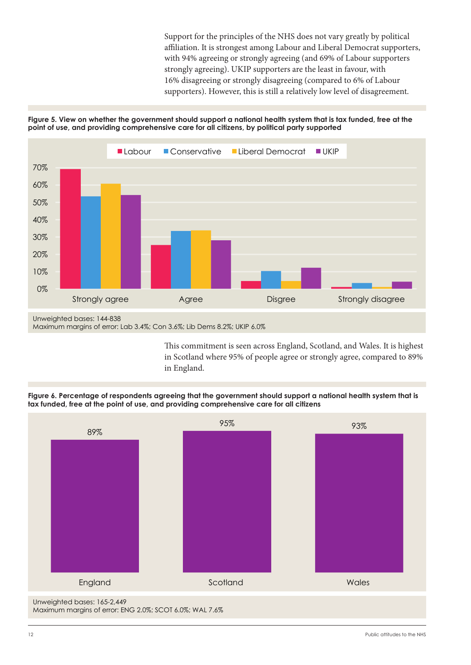Support for the principles of the NHS does not vary greatly by political affiliation. It is strongest among Labour and Liberal Democrat supporters, with 94% agreeing or strongly agreeing (and 69% of Labour supporters strongly agreeing). UKIP supporters are the least in favour, with 16% disagreeing or strongly disagreeing (compared to 6% of Labour supporters). However, this is still a relatively low level of disagreement.





This commitment is seen across England, Scotland, and Wales. It is highest in Scotland where 95% of people agree or strongly agree, compared to 89% in England.





12 Public attitudes to the NHS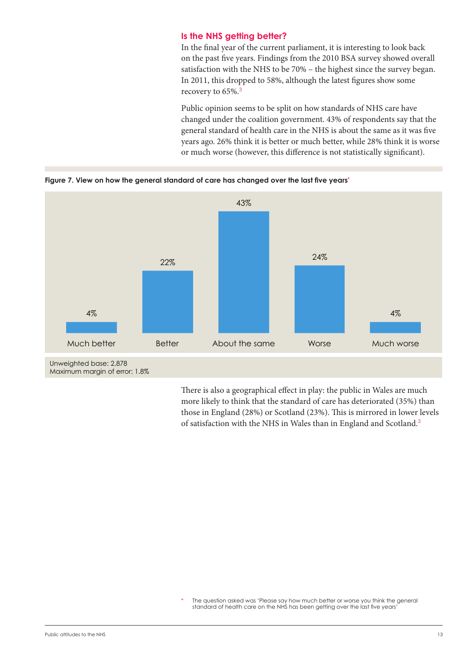#### **Is the NHS getting better?**

In the final year of the current parliament, it is interesting to look back on the past five years. Findings from the 2010 BSA survey showed overall satisfaction with the NHS to be 70% – the highest since the survey began. In 2011, this dropped to 58%, although the latest figures show some recovery to 65%.<sup>3</sup>

Public opinion seems to be split on how standards of NHS care have changed under the coalition government. 43% of respondents say that the general standard of health care in the NHS is about the same as it was five years ago. 26% think it is better or much better, while 28% think it is worse or much worse (however, this difference is not statistically significant).



<span id="page-12-0"></span>**Figure 7. View on how the general standard of care has changed over the last five years\***

There is also a geographical effect in play: the public in Wales are much more likely to think that the standard of care has deteriorated (35%) than those in England (28%) or Scotland (23%). This is mirrored in lower levels of satisfaction with the NHS in Wales than in England and Scotland.<sup>3</sup>

The question asked was 'Please say how much better or worse you think the general standard of health care on the NHS has been getting over the last five years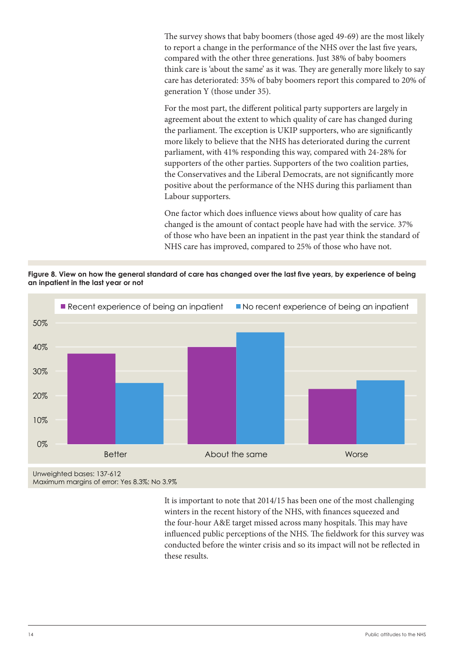The survey shows that baby boomers (those aged 49-69) are the most likely to report a change in the performance of the NHS over the last five years, compared with the other three generations. Just 38% of baby boomers think care is 'about the same' as it was. They are generally more likely to say care has deteriorated: 35% of baby boomers report this compared to 20% of generation Y (those under 35).

For the most part, the different political party supporters are largely in agreement about the extent to which quality of care has changed during the parliament. The exception is UKIP supporters, who are significantly more likely to believe that the NHS has deteriorated during the current parliament, with 41% responding this way, compared with 24-28% for supporters of the other parties. Supporters of the two coalition parties, the Conservatives and the Liberal Democrats, are not significantly more positive about the performance of the NHS during this parliament than Labour supporters.

One factor which does influence views about how quality of care has changed is the amount of contact people have had with the service. 37% of those who have been an inpatient in the past year think the standard of NHS care has improved, compared to 25% of those who have not.

**Figure 8. View on how the general standard of care has changed over the last five years, by experience of being an inpatient in the last year or not**



Maximum margins of error: Yes 8.3%; No 3.9%

It is important to note that 2014/15 has been one of the most challenging winters in the recent history of the NHS, with finances squeezed and the four-hour A&E target missed across many hospitals. This may have influenced public perceptions of the NHS. The fieldwork for this survey was conducted before the winter crisis and so its impact will not be reflected in these results.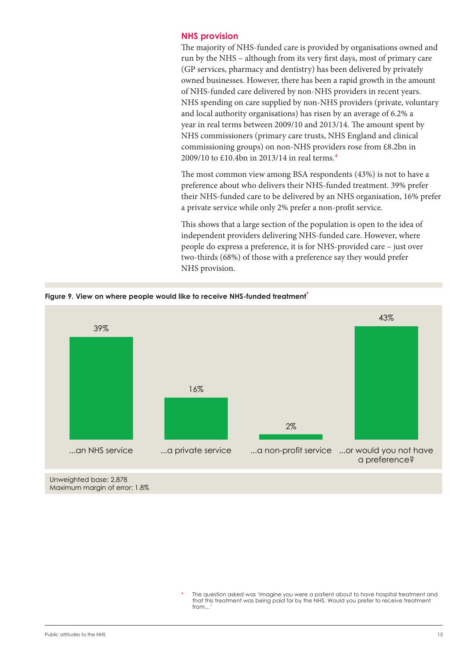#### <span id="page-14-0"></span>**NHS provision**

The majority of NHS-funded care is provided by organisations owned and run by the NHS – although from its very first days, most of primary care (GP services, pharmacy and dentistry) has been delivered by privately owned businesses. However, there has been a rapid growth in the amount of NHS-funded care delivered by non-NHS providers in recent years. NHS spending on care supplied by non-NHS providers (private, voluntary and local authority organisations) has risen by an average of 6.2% a year in real terms between 2009/10 and 2013/14. The amount spent by NHS commissioners (primary care trusts, NHS England and clinical commissioning groups) on non-NHS providers rose from £8.2bn in 2009/10 to £10.4bn in 2013/14 in real terms.<sup>4</sup>

The most common view among BSA respondents (43%) is not to have a preference about who delivers their NHS-funded treatment. 39% prefer their NHS-funded care to be delivered by an NHS organisation, 16% prefer a private service while only 2% prefer a non-profit service.

This shows that a large section of the population is open to the idea of independent providers delivering NHS-funded care. However, where people do express a preference, it is for NHS-provided care – just over two-thirds (68%) of those with a preference say they would prefer NHS provision.



**Figure 9. View on where people would like to receive NHS-funded treatment\***

Unweighted base: 2,878 Maximum margin of error: 1.8%

> The question asked was 'Imagine you were a patient about to have hospital treatment and that this treatment was being paid for by the NHS. Would you prefer to receive treatment from…'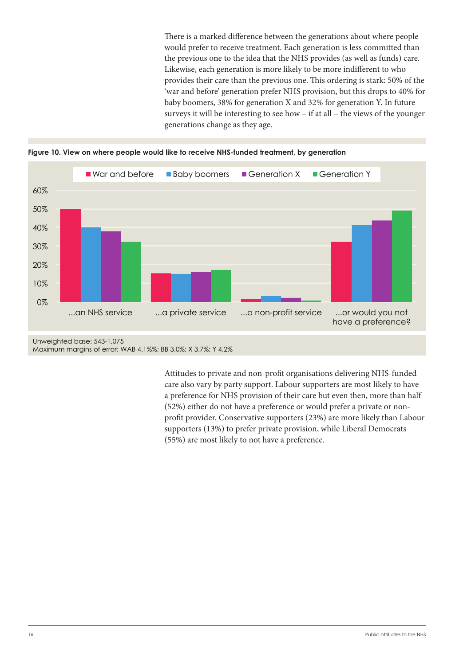There is a marked difference between the generations about where people would prefer to receive treatment. Each generation is less committed than the previous one to the idea that the NHS provides (as well as funds) care. Likewise, each generation is more likely to be more indifferent to who provides their care than the previous one. This ordering is stark: 50% of the 'war and before' generation prefer NHS provision, but this drops to 40% for baby boomers, 38% for generation X and 32% for generation Y. In future surveys it will be interesting to see how – if at all – the views of the younger generations change as they age.





Maximum margins of error: WAB 4.1%%; BB 3.0%; X 3.7%; Y 4.2%

Attitudes to private and non-profit organisations delivering NHS-funded care also vary by party support. Labour supporters are most likely to have a preference for NHS provision of their care but even then, more than half (52%) either do not have a preference or would prefer a private or nonprofit provider. Conservative supporters (23%) are more likely than Labour supporters (13%) to prefer private provision, while Liberal Democrats (55%) are most likely to not have a preference.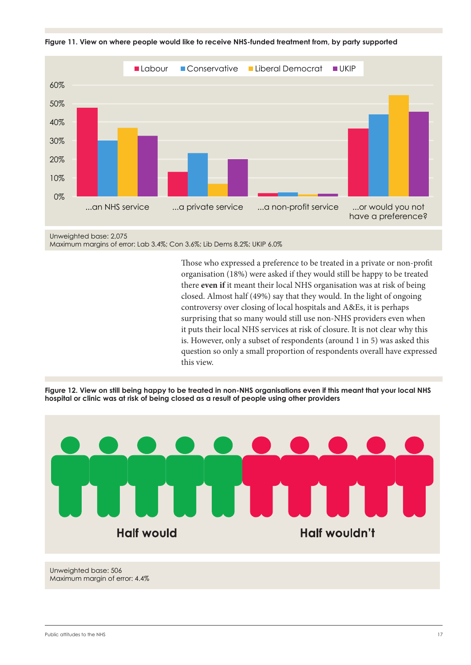



Unweighted base: 2,075 Maximum margins of error: Lab 3.4%; Con 3.6%; Lib Dems 8.2%; UKIP 6.0%

> Those who expressed a preference to be treated in a private or non-profit organisation (18%) were asked if they would still be happy to be treated there **even if** it meant their local NHS organisation was at risk of being closed. Almost half (49%) say that they would. In the light of ongoing controversy over closing of local hospitals and A&Es, it is perhaps surprising that so many would still use non-NHS providers even when it puts their local NHS services at risk of closure. It is not clear why this is. However, only a subset of respondents (around 1 in 5) was asked this question so only a small proportion of respondents overall have expressed this view.

**Figure 12. View on still being happy to be treated in non-NHS organisations even if this meant that your local NHS hospital or clinic was at risk of being closed as a result of people using other providers**



Unweighted base: 506 Maximum margin of error: 4.4%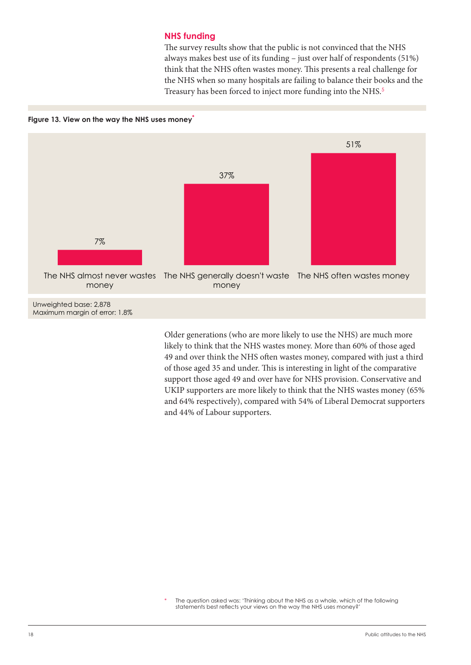#### **NHS funding**

The survey results show that the public is not convinced that the NHS always makes best use of its funding – just over half of respondents (51%) think that the NHS often wastes money. This presents a real challenge for the NHS when so many hospitals are failing to balance their books and the Treasury has been forced to inject more funding into the NHS.<sup>5</sup>

<span id="page-17-0"></span>



Older generations (who are more likely to use the NHS) are much more likely to think that the NHS wastes money. More than 60% of those aged 49 and over think the NHS often wastes money, compared with just a third of those aged 35 and under. This is interesting in light of the comparative support those aged 49 and over have for NHS provision. Conservative and UKIP supporters are more likely to think that the NHS wastes money (65% and 64% respectively), compared with 54% of Liberal Democrat supporters and 44% of Labour supporters.

The question asked was: 'Thinking about the NHS as a whole, which of the following statements best reflects your views on the way the NHS uses money?'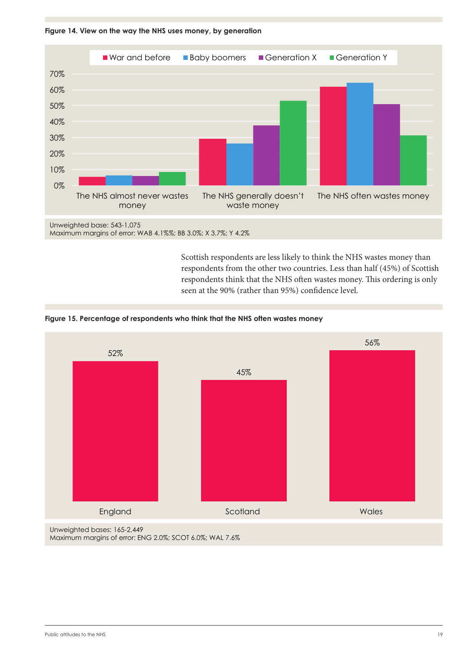

**Figure 14. View on the way the NHS uses money, by generation**

Scottish respondents are less likely to think the NHS wastes money than respondents from the other two countries. Less than half (45%) of Scottish respondents think that the NHS often wastes money. This ordering is only seen at the 90% (rather than 95%) confidence level.





Maximum margins of error: ENG 2.0%; SCOT 6.0%; WAL 7.6%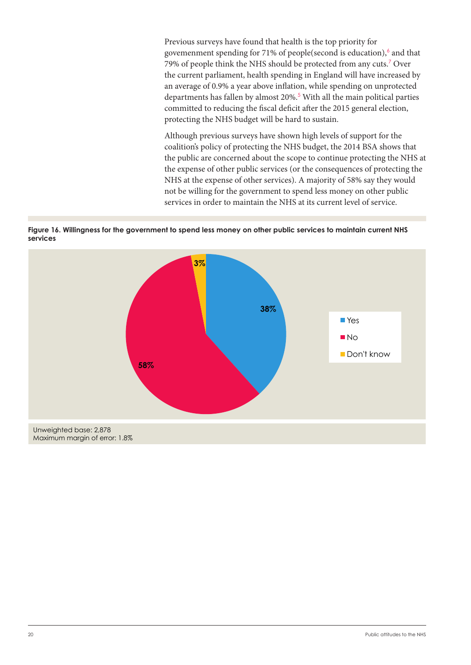Previous surveys have found that health is the top priority for govemenment spending for 71% of people(second is education),<sup>6</sup> and that 79% of people think the NHS should be protected from any cuts.<sup>7</sup> Over the current parliament, health spending in England will have increased by an average of 0.9% a year above inflation, while spending on unprotected departments has fallen by almost 20%.<sup>5</sup> With all the main political parties committed to reducing the fiscal deficit after the 2015 general election, protecting the NHS budget will be hard to sustain.

Although previous surveys have shown high levels of support for the coalition's policy of protecting the NHS budget, the 2014 BSA shows that the public are concerned about the scope to continue protecting the NHS at the expense of other public services (or the consequences of protecting the NHS at the expense of other services). A majority of 58% say they would not be willing for the government to spend less money on other public services in order to maintain the NHS at its current level of service.



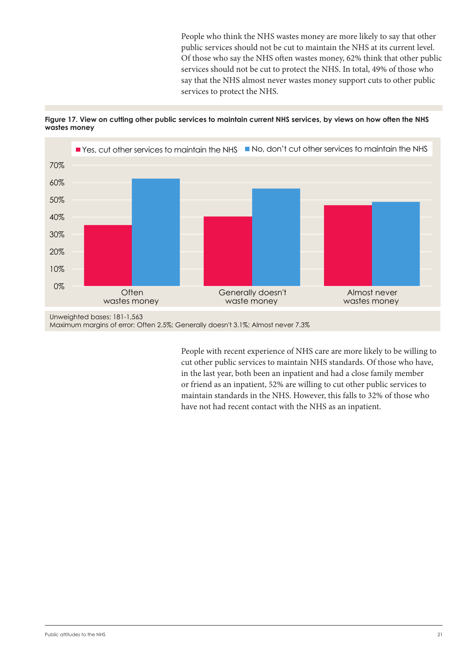People who think the NHS wastes money are more likely to say that other public services should not be cut to maintain the NHS at its current level. Of those who say the NHS often wastes money, 62% think that other public services should not be cut to protect the NHS. In total, 49% of those who say that the NHS almost never wastes money support cuts to other public services to protect the NHS.

**Figure 17. View on cutting other public services to maintain current NHS services, by views on how often the NHS wastes money**



Maximum margins of error: Often 2.5%; Generally doesn't 3.1%; Almost never 7.3%

People with recent experience of NHS care are more likely to be willing to cut other public services to maintain NHS standards. Of those who have, in the last year, both been an inpatient and had a close family member or friend as an inpatient, 52% are willing to cut other public services to maintain standards in the NHS. However, this falls to 32% of those who have not had recent contact with the NHS as an inpatient.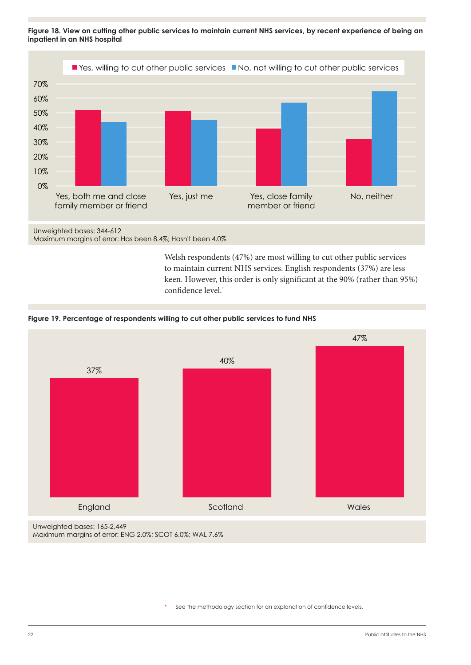**Figure 18. View on cutting other public services to maintain current NHS services, by recent experience of being an inpatient in an NHS hospital**



Maximum margins of error: Has been 8.4%; Hasn't been 4.0%

Welsh respondents (47%) are most willing to cut other public services to maintain current NHS services. English respondents (37%) are less keen. However, this order is only significant at the 90% (rather than 95%) confidence level.\*

#### **Figure 19. Percentage of respondents willing to cut other public services to fund NHS**



See the methodology section for an explanation of confidence levels.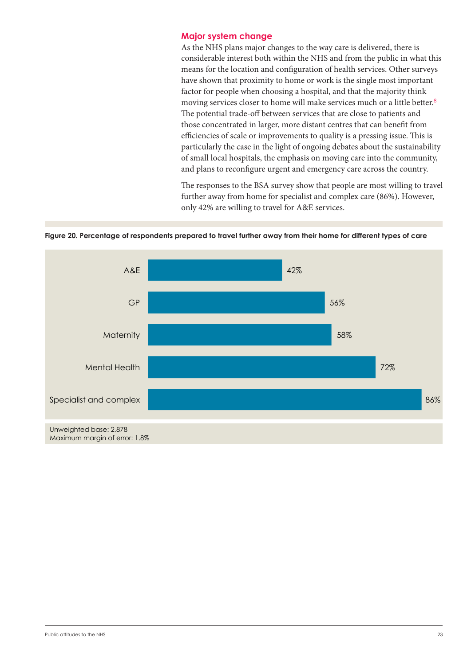#### <span id="page-22-0"></span>**Major system change**

As the NHS plans major changes to the way care is delivered, there is considerable interest both within the NHS and from the public in what this means for the location and configuration of health services. Other surveys have shown that proximity to home or work is the single most important factor for people when choosing a hospital, and that the majority think moving services closer to home will make services much or a little better.<sup>8</sup> The potential trade-off between services that are close to patients and those concentrated in larger, more distant centres that can benefit from efficiencies of scale or improvements to quality is a pressing issue. This is particularly the case in the light of ongoing debates about the sustainability of small local hospitals, the emphasis on moving care into the community, and plans to reconfigure urgent and emergency care across the country.

The responses to the BSA survey show that people are most willing to travel further away from home for specialist and complex care (86%). However, only 42% are willing to travel for A&E services.

**Figure 20. Percentage of respondents prepared to travel further away from their home for different types of care**

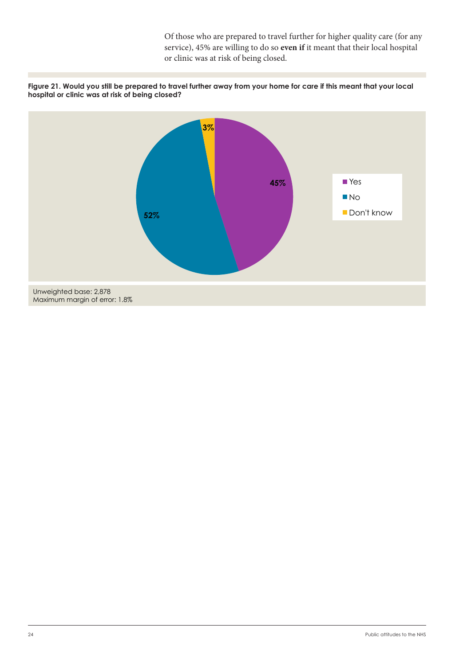Of those who are prepared to travel further for higher quality care (for any service), 45% are willing to do so **even if** it meant that their local hospital or clinic was at risk of being closed.



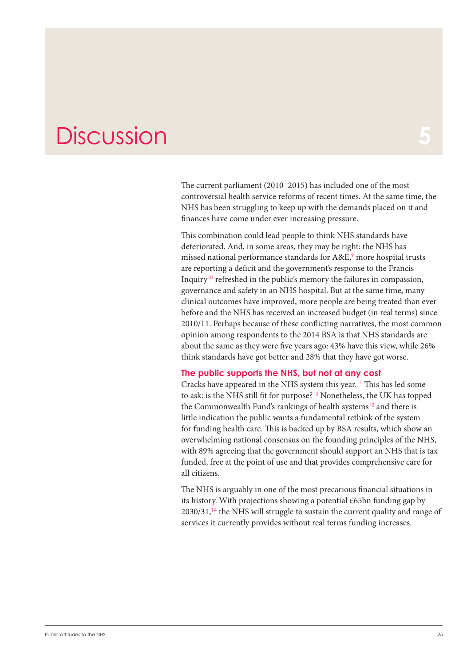### <span id="page-24-0"></span>**Discussion**

The current parliament (2010–2015) has included one of the most controversial health service reforms of recent times. At the same time, the NHS has been struggling to keep up with the demands placed on it and finances have come under ever increasing pressure.

This combination could lead people to think NHS standards have deteriorated. And, in some areas, they may be right: the NHS has missed national performance standards for A&E,<sup>9</sup> more hospital trusts are reporting a deficit and the government's response to the Francis Inquiry<sup>10</sup> refreshed in the public's memory the failures in compassion, governance and safety in an NHS hospital. But at the same time, many clinical outcomes have improved, more people are being treated than ever before and the NHS has received an increased budget (in real terms) since 2010/11. Perhaps because of these conflicting narratives, the most common opinion among respondents to the 2014 BSA is that NHS standards are about the same as they were five years ago: 43% have this view, while 26% think standards have got better and 28% that they have got worse.

#### **The public supports the NHS, but not at any cost**

Cracks have appeared in the NHS system this year.<sup>11</sup> This has led some to ask: is the NHS still fit for purpose?<sup>12</sup> Nonetheless, the UK has topped the Commonwealth Fund's rankings of health systems<sup>13</sup> and there is little indication the public wants a fundamental rethink of the system for funding health care. This is backed up by BSA results, which show an overwhelming national consensus on the founding principles of the NHS, with 89% agreeing that the government should support an NHS that is tax funded, free at the point of use and that provides comprehensive care for all citizens.

The NHS is arguably in one of the most precarious financial situations in its history. With projections showing a potential £65bn funding gap by  $2030/31$ ,<sup>14</sup> the NHS will struggle to sustain the current quality and range of services it currently provides without real terms funding increases.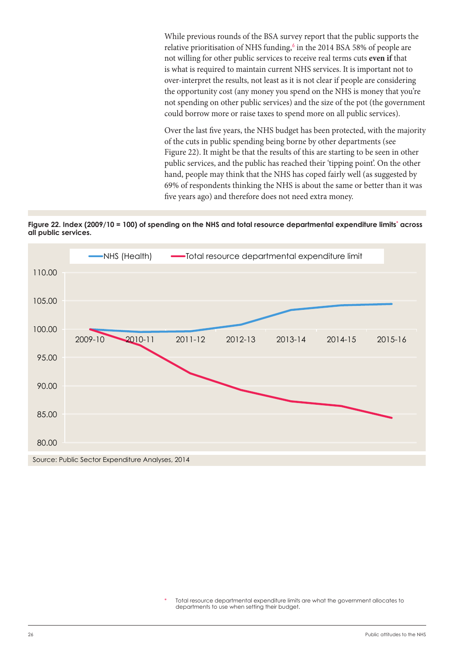While previous rounds of the BSA survey report that the public supports the relative prioritisation of NHS funding, $6$  in the 2014 BSA 58% of people are not willing for other public services to receive real terms cuts **even if** that is what is required to maintain current NHS services. It is important not to over-interpret the results, not least as it is not clear if people are considering the opportunity cost (any money you spend on the NHS is money that you're not spending on other public services) and the size of the pot (the government could borrow more or raise taxes to spend more on all public services).

Over the last five years, the NHS budget has been protected, with the majority of the cuts in public spending being borne by other departments (see Figure 22). It might be that the results of this are starting to be seen in other public services, and the public has reached their 'tipping point'. On the other hand, people may think that the NHS has coped fairly well (as suggested by 69% of respondents thinking the NHS is about the same or better than it was five years ago) and therefore does not need extra money.





Total resource departmental expenditure limits are what the government allocates to departments to use when setting their budget.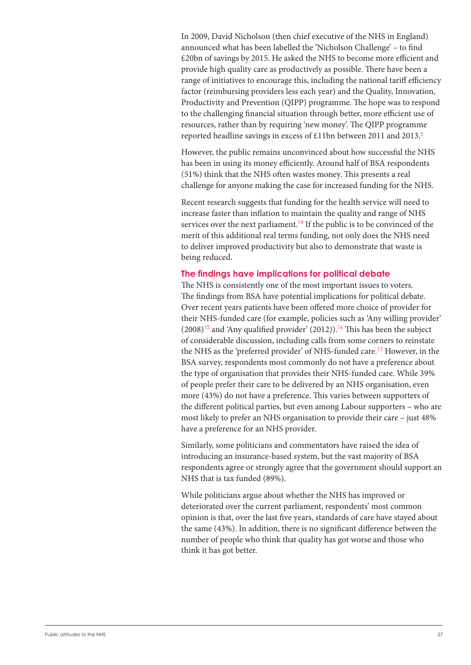In 2009, David Nicholson (then chief executive of the NHS in England) announced what has been labelled the 'Nicholson Challenge' – to find £20bn of savings by 2015. He asked the NHS to become more efficient and provide high quality care as productively as possible. There have been a range of initiatives to encourage this, including the national tariff efficiency factor (reimbursing providers less each year) and the Quality, Innovation, Productivity and Prevention (QIPP) programme. The hope was to respond to the challenging financial situation through better, more efficient use of resources, rather than by requiring 'new money'. The QIPP programme reported headline savings in excess of £11bn between 2011 and 2013.<sup>5</sup>

However, the public remains unconvinced about how successful the NHS has been in using its money efficiently. Around half of BSA respondents (51%) think that the NHS often wastes money. This presents a real challenge for anyone making the case for increased funding for the NHS.

Recent research suggests that funding for the health service will need to increase faster than inflation to maintain the quality and range of NHS services over the next parliament.<sup>14</sup> If the public is to be convinced of the merit of this additional real terms funding, not only does the NHS need to deliver improved productivity but also to demonstrate that waste is being reduced.

#### **The findings have implications for political debate**

The NHS is consistently one of the most important issues to voters. The findings from BSA have potential implications for political debate. Over recent years patients have been offered more choice of provider for their NHS-funded care (for example, policies such as 'Any willing provider'  $(2008)^{15}$  and 'Any qualified provider' (2012)).<sup>16</sup> This has been the subject of considerable discussion, including calls from some corners to reinstate the NHS as the 'preferred provider' of NHS-funded care.<sup>17</sup> However, in the BSA survey, respondents most commonly do not have a preference about the type of organisation that provides their NHS-funded care. While 39% of people prefer their care to be delivered by an NHS organisation, even more (43%) do not have a preference. This varies between supporters of the different political parties, but even among Labour supporters – who are most likely to prefer an NHS organisation to provide their care – just 48% have a preference for an NHS provider.

Similarly, some politicians and commentators have raised the idea of introducing an insurance-based system, but the vast majority of BSA respondents agree or strongly agree that the government should support an NHS that is tax funded (89%).

While politicians argue about whether the NHS has improved or deteriorated over the current parliament, respondents' most common opinion is that, over the last five years, standards of care have stayed about the same (43%). In addition, there is no significant difference between the number of people who think that quality has got worse and those who think it has got better.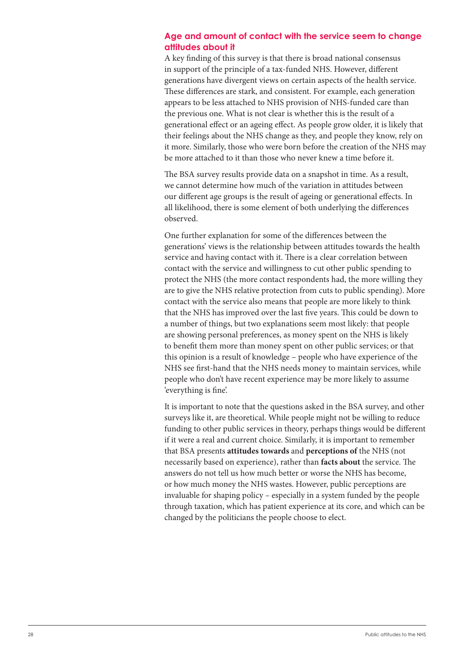#### **Age and amount of contact with the service seem to change attitudes about it**

A key finding of this survey is that there is broad national consensus in support of the principle of a tax-funded NHS. However, different generations have divergent views on certain aspects of the health service. These differences are stark, and consistent. For example, each generation appears to be less attached to NHS provision of NHS-funded care than the previous one. What is not clear is whether this is the result of a generational effect or an ageing effect. As people grow older, it is likely that their feelings about the NHS change as they, and people they know, rely on it more. Similarly, those who were born before the creation of the NHS may be more attached to it than those who never knew a time before it.

The BSA survey results provide data on a snapshot in time. As a result, we cannot determine how much of the variation in attitudes between our different age groups is the result of ageing or generational effects. In all likelihood, there is some element of both underlying the differences observed.

One further explanation for some of the differences between the generations' views is the relationship between attitudes towards the health service and having contact with it. There is a clear correlation between contact with the service and willingness to cut other public spending to protect the NHS (the more contact respondents had, the more willing they are to give the NHS relative protection from cuts to public spending). More contact with the service also means that people are more likely to think that the NHS has improved over the last five years. This could be down to a number of things, but two explanations seem most likely: that people are showing personal preferences, as money spent on the NHS is likely to benefit them more than money spent on other public services; or that this opinion is a result of knowledge – people who have experience of the NHS see first-hand that the NHS needs money to maintain services, while people who don't have recent experience may be more likely to assume 'everything is fine'.

It is important to note that the questions asked in the BSA survey, and other surveys like it, are theoretical. While people might not be willing to reduce funding to other public services in theory, perhaps things would be different if it were a real and current choice. Similarly, it is important to remember that BSA presents **attitudes towards** and **perceptions of** the NHS (not necessarily based on experience), rather than **facts about** the service. The answers do not tell us how much better or worse the NHS has become, or how much money the NHS wastes. However, public perceptions are invaluable for shaping policy – especially in a system funded by the people through taxation, which has patient experience at its core, and which can be changed by the politicians the people choose to elect.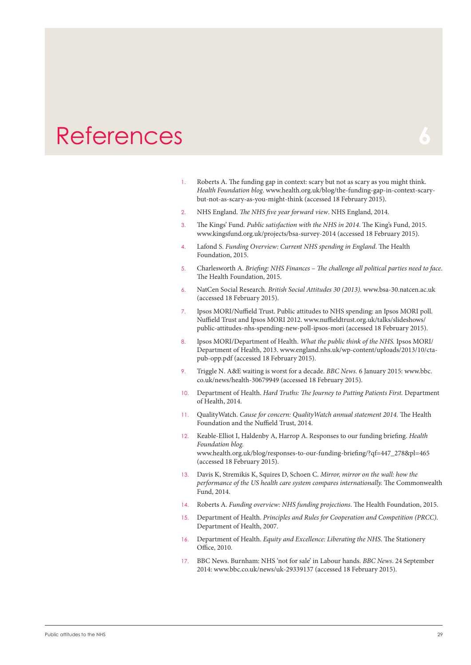### <span id="page-28-0"></span>References

- 1. Roberts A. The funding gap in context: scary but not as scary as you might think. *Health Foundation blog*. www.health.org.uk/blog/the-funding-gap-in-context-scarybut-not-as-scary-as-you-might-think (accessed 18 February 2015).
- 2. NHS England. *The NHS five year forward view*. NHS England, 2014.
- 3. The Kings' Fund. *Public satisfaction with the NHS in 2014*. The King's Fund, 2015. www.kingsfund.org.uk/projects/bsa-survey-2014 (accessed 18 February 2015).
- 4. Lafond S. *Funding Overview: Current NHS spending in England*. The Health Foundation, 2015.
- 5. Charlesworth A. *Briefing: NHS Finances The challenge all political parties need to face*. The Health Foundation, 2015.
- 6. NatCen Social Research. *British Social Attitudes 30 (2013).* www.bsa-30.natcen.ac.uk (accessed 18 February 2015).
- 7. Ipsos MORI/Nuffield Trust. Public attitudes to NHS spending: an Ipsos MORI poll. Nuffield Trust and Ipsos MORI 2012. www.nuffieldtrust.org.uk/talks/slideshows/ public-attitudes-nhs-spending-new-poll-ipsos-mori (accessed 18 February 2015).
- 8. Ipsos MORI/Department of Health. *What the public think of the NHS.* Ipsos MORI/ Department of Health, 2013. www.england.nhs.uk/wp-content/uploads/2013/10/ctapub-opp.pdf (accessed 18 February 2015).
- 9. Triggle N. A&E waiting is worst for a decade. *BBC News.* 6 January 2015: [www.bbc.](http://www.bbc.co.uk/news/health-30679949) [co.uk/news/health-30679949](http://www.bbc.co.uk/news/health-30679949) (accessed 18 February 2015).
- 10. Department of Health. *Hard Truths: The Journey to Putting Patients First.* Department of Health, 2014.
- 11. QualityWatch. *Cause for concern: QualityWatch annual statement 2014.* The Health Foundation and the Nuffield Trust, 2014.
- 12. Keable-Elliot I, Haldenby A, Harrop A. Responses to our funding briefing. *Health Foundation blog.*  www.health.org.uk/blog/responses-to-our-funding-briefing/?qf=447\_278&pl=465 (accessed 18 February 2015).
- 13. Davis K, Stremikis K, Squires D, Schoen C. *Mirror, mirror on the wall: how the performance of the US health care system compares internationally.* The Commonwealth Fund, 2014.
- 14. Roberts A. *Funding overview: NHS funding projections*. The Health Foundation, 2015.
- 15. Department of Health. *Principles and Rules for Cooperation and Competition (PRCC)*. Department of Health, 2007.
- 16. Department of Health. *Equity and Excellence: Liberating the NHS*. The Stationery Office, 2010.
- 17. BBC News. Burnham: NHS 'not for sale' in Labour hands. *BBC News*. 24 September 2014: [www.bbc.co.uk/news/uk-29339137](http://www.bbc.co.uk/news/uk-29339137) (accessed 18 February 2015).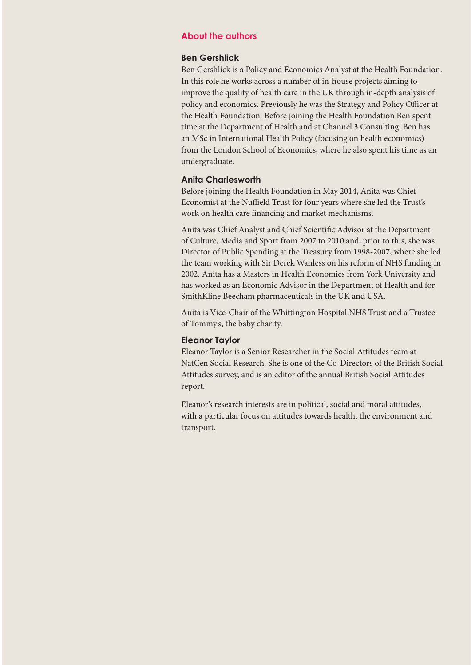#### **About the authors**

#### **Ben Gershlick**

Ben Gershlick is a Policy and Economics Analyst at the Health Foundation. In this role he works across a number of in-house projects aiming to improve the quality of health care in the UK through in-depth analysis of policy and economics. Previously he was the Strategy and Policy Officer at the Health Foundation. Before joining the Health Foundation Ben spent time at the Department of Health and at Channel 3 Consulting. Ben has an MSc in International Health Policy (focusing on health economics) from the London School of Economics, where he also spent his time as an undergraduate.

#### **Anita Charlesworth**

Before joining the Health Foundation in May 2014, Anita was Chief Economist at the Nuffield Trust for four years where she led the Trust's work on health care financing and market mechanisms.

Anita was Chief Analyst and Chief Scientific Advisor at the Department of Culture, Media and Sport from 2007 to 2010 and, prior to this, she was Director of Public Spending at the Treasury from 1998-2007, where she led the team working with Sir Derek Wanless on his reform of NHS funding in 2002. Anita has a Masters in Health Economics from York University and has worked as an Economic Advisor in the Department of Health and for SmithKline Beecham pharmaceuticals in the UK and USA.

Anita is Vice-Chair of the Whittington Hospital NHS Trust and a Trustee of Tommy's, the baby charity.

#### **Eleanor Taylor**

Eleanor Taylor is a Senior Researcher in the Social Attitudes team at NatCen Social Research. She is one of the Co-Directors of the British Social Attitudes survey, and is an editor of the annual British Social Attitudes report.

Eleanor's research interests are in political, social and moral attitudes, with a particular focus on attitudes towards health, the environment and transport.